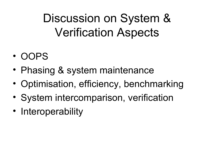Discussion on System & Verification Aspects

- OOPS
- Phasing & system maintenance
- Optimisation, efficiency, benchmarking
- System intercomparison, verification
- Interoperability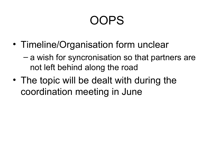## OOPS

- Timeline/Organisation form unclear
	- a wish for syncronisation so that partners are not left behind along the road
- The topic will be dealt with during the coordination meeting in June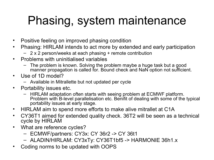## Phasing, system maintenance

- Positive feeling on improved phasing condition
- Phasing: HIRLAM intends to act more by extended and early participation
	- 2 x 2 person/weeks at each phasing + remote contribution
- Problems with uninitialised variables
	- The problem is known. Solving the problem maybe a huge task but a good manner propagation is called for. Bound check and NaN option not sufficient.
- Use of 1D model?
	- Available in Mitrallette but not updated per cycle
- Portability issues etc.
	- HIRLAM adaptation often starts with seeing problem at ECMWF platform. Problem with B-level parallelisation etc. Benifit of dealing with some of the typical portability issues at early stage.
- HIRLAM aim to spend more efforts to make alive mitrallet at C1A
- CY36T1 aimed for extended quality check. 36T2 will be seen as a technical cycle by HIRLAM
- What are reference cycles?
	- ECMWF/partners: CY3x: CY 36r2 -> CY 36t1
	- ALADIN/HIRLAM: CY3xTy: CY36T1bf5 -> HARMONIE 36h1.x
- Coding norms to be updated with OOPS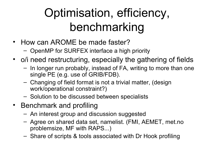# Optimisation, efficiency, benchmarking

- How can AROME be made faster?
	- OpenMP for SURFEX interface a high priority
- o/i need restructuring, especially the gathering of fields
	- In longer run probably, instead of FA, writing to more than one single PE (e.g. use of GRIB/FDB).
	- Changing of field format is not a trivial matter, (design work/operational constraint?)
	- Solution to be discussed between specialists
- Benchmark and profiling
	- An interest group and discussion suggested
	- Agree on shared data set, namelist. (FMI, AEMET, met.no problemsize, MF with RAPS...)
	- Share of scripts & tools associated with Dr Hook profiling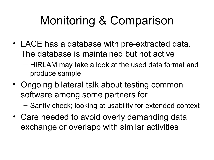## Monitoring & Comparison

- LACE has a database with pre-extracted data. The database is maintained but not active
	- HIRLAM may take a look at the used data format and produce sample
- Ongoing bilateral talk about testing common software among some partners for

– Sanity check; looking at usability for extended context

• Care needed to avoid overly demanding data exchange or overlapp with similar activities